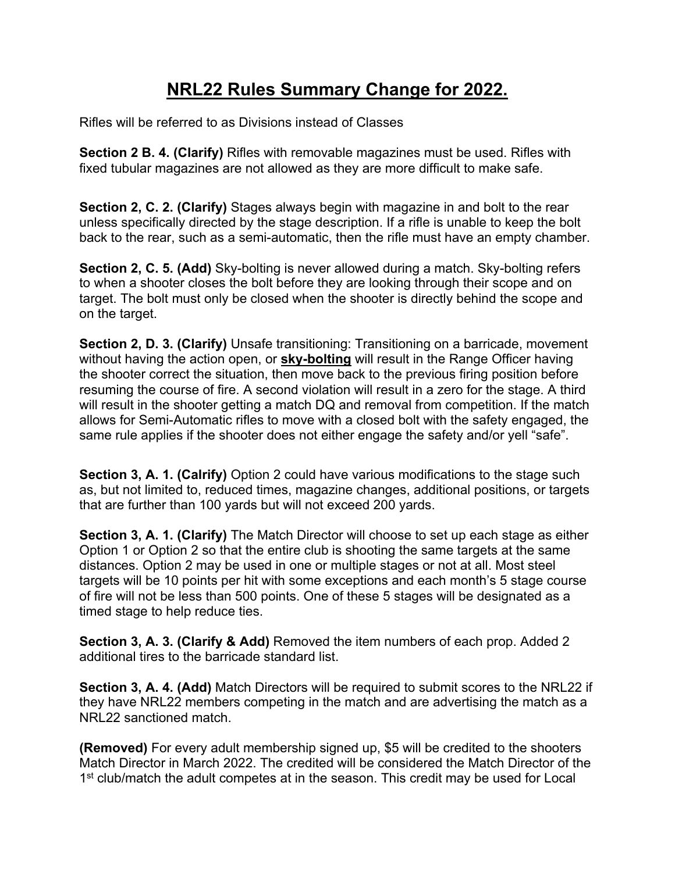## **NRL22 Rules Summary Change for 2022.**

Rifles will be referred to as Divisions instead of Classes

**Section 2 B. 4. (Clarify)** Rifles with removable magazines must be used. Rifles with fixed tubular magazines are not allowed as they are more difficult to make safe.

**Section 2, C. 2. (Clarify)** Stages always begin with magazine in and bolt to the rear unless specifically directed by the stage description. If a rifle is unable to keep the bolt back to the rear, such as a semi-automatic, then the rifle must have an empty chamber.

**Section 2, C. 5. (Add)** Sky-bolting is never allowed during a match. Sky-bolting refers to when a shooter closes the bolt before they are looking through their scope and on target. The bolt must only be closed when the shooter is directly behind the scope and on the target.

**Section 2, D. 3. (Clarify)** Unsafe transitioning: Transitioning on a barricade, movement without having the action open, or **sky-bolting** will result in the Range Officer having the shooter correct the situation, then move back to the previous firing position before resuming the course of fire. A second violation will result in a zero for the stage. A third will result in the shooter getting a match DQ and removal from competition. If the match allows for Semi-Automatic rifles to move with a closed bolt with the safety engaged, the same rule applies if the shooter does not either engage the safety and/or yell "safe".

**Section 3, A. 1. (Calrify)** Option 2 could have various modifications to the stage such as, but not limited to, reduced times, magazine changes, additional positions, or targets that are further than 100 yards but will not exceed 200 yards.

**Section 3, A. 1. (Clarify)** The Match Director will choose to set up each stage as either Option 1 or Option 2 so that the entire club is shooting the same targets at the same distances. Option 2 may be used in one or multiple stages or not at all. Most steel targets will be 10 points per hit with some exceptions and each month's 5 stage course of fire will not be less than 500 points. One of these 5 stages will be designated as a timed stage to help reduce ties.

**Section 3, A. 3. (Clarify & Add)** Removed the item numbers of each prop. Added 2 additional tires to the barricade standard list.

**Section 3, A. 4. (Add)** Match Directors will be required to submit scores to the NRL22 if they have NRL22 members competing in the match and are advertising the match as a NRL22 sanctioned match.

**(Removed)** For every adult membership signed up, \$5 will be credited to the shooters Match Director in March 2022. The credited will be considered the Match Director of the 1<sup>st</sup> club/match the adult competes at in the season. This credit may be used for Local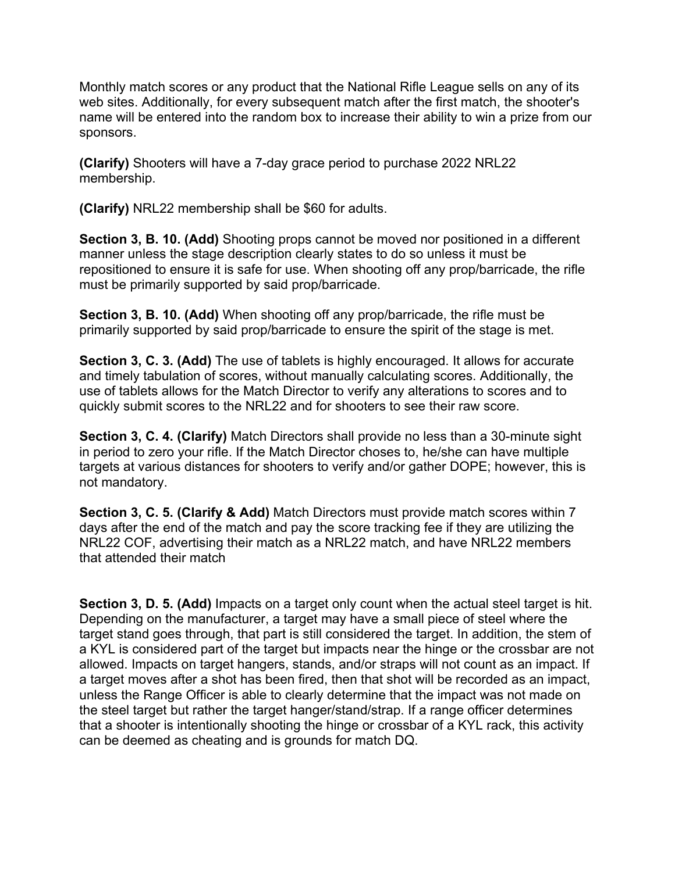Monthly match scores or any product that the National Rifle League sells on any of its web sites. Additionally, for every subsequent match after the first match, the shooter's name will be entered into the random box to increase their ability to win a prize from our sponsors.

**(Clarify)** Shooters will have a 7-day grace period to purchase 2022 NRL22 membership.

**(Clarify)** NRL22 membership shall be \$60 for adults.

**Section 3, B. 10. (Add)** Shooting props cannot be moved nor positioned in a different manner unless the stage description clearly states to do so unless it must be repositioned to ensure it is safe for use. When shooting off any prop/barricade, the rifle must be primarily supported by said prop/barricade.

**Section 3, B. 10. (Add)** When shooting off any prop/barricade, the rifle must be primarily supported by said prop/barricade to ensure the spirit of the stage is met.

**Section 3, C. 3. (Add)** The use of tablets is highly encouraged. It allows for accurate and timely tabulation of scores, without manually calculating scores. Additionally, the use of tablets allows for the Match Director to verify any alterations to scores and to quickly submit scores to the NRL22 and for shooters to see their raw score.

**Section 3, C. 4. (Clarify)** Match Directors shall provide no less than a 30-minute sight in period to zero your rifle. If the Match Director choses to, he/she can have multiple targets at various distances for shooters to verify and/or gather DOPE; however, this is not mandatory.

**Section 3, C. 5. (Clarify & Add)** Match Directors must provide match scores within 7 days after the end of the match and pay the score tracking fee if they are utilizing the NRL22 COF, advertising their match as a NRL22 match, and have NRL22 members that attended their match

**Section 3, D. 5. (Add)** Impacts on a target only count when the actual steel target is hit. Depending on the manufacturer, a target may have a small piece of steel where the target stand goes through, that part is still considered the target. In addition, the stem of a KYL is considered part of the target but impacts near the hinge or the crossbar are not allowed. Impacts on target hangers, stands, and/or straps will not count as an impact. If a target moves after a shot has been fired, then that shot will be recorded as an impact, unless the Range Officer is able to clearly determine that the impact was not made on the steel target but rather the target hanger/stand/strap. If a range officer determines that a shooter is intentionally shooting the hinge or crossbar of a KYL rack, this activity can be deemed as cheating and is grounds for match DQ.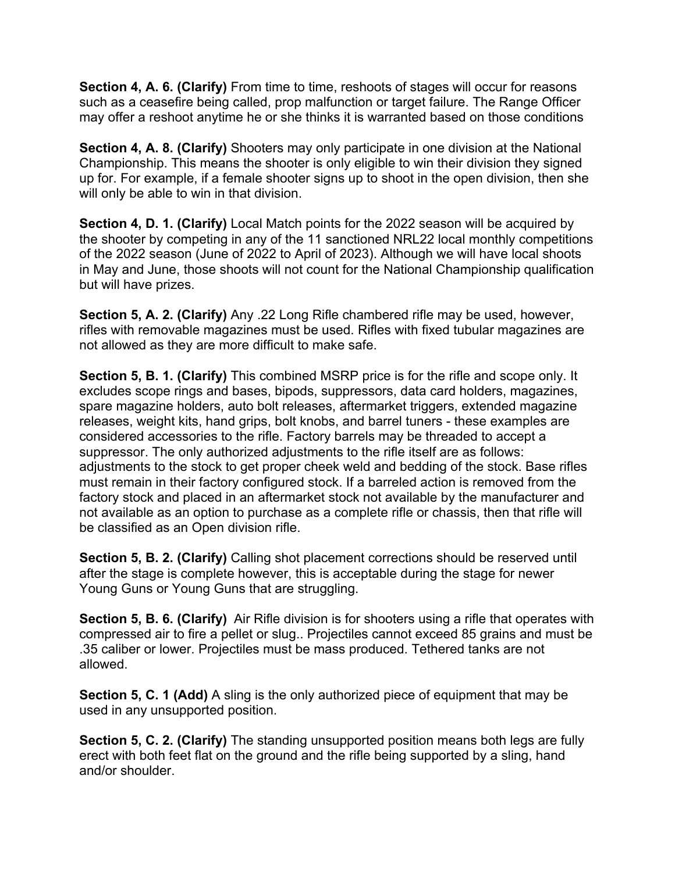**Section 4, A. 6. (Clarify)** From time to time, reshoots of stages will occur for reasons such as a ceasefire being called, prop malfunction or target failure. The Range Officer may offer a reshoot anytime he or she thinks it is warranted based on those conditions

**Section 4, A. 8. (Clarify)** Shooters may only participate in one division at the National Championship. This means the shooter is only eligible to win their division they signed up for. For example, if a female shooter signs up to shoot in the open division, then she will only be able to win in that division.

**Section 4, D. 1. (Clarify)** Local Match points for the 2022 season will be acquired by the shooter by competing in any of the 11 sanctioned NRL22 local monthly competitions of the 2022 season (June of 2022 to April of 2023). Although we will have local shoots in May and June, those shoots will not count for the National Championship qualification but will have prizes.

**Section 5, A. 2. (Clarify)** Any .22 Long Rifle chambered rifle may be used, however, rifles with removable magazines must be used. Rifles with fixed tubular magazines are not allowed as they are more difficult to make safe.

**Section 5, B. 1. (Clarify)** This combined MSRP price is for the rifle and scope only. It excludes scope rings and bases, bipods, suppressors, data card holders, magazines, spare magazine holders, auto bolt releases, aftermarket triggers, extended magazine releases, weight kits, hand grips, bolt knobs, and barrel tuners - these examples are considered accessories to the rifle. Factory barrels may be threaded to accept a suppressor. The only authorized adjustments to the rifle itself are as follows: adjustments to the stock to get proper cheek weld and bedding of the stock. Base rifles must remain in their factory configured stock. If a barreled action is removed from the factory stock and placed in an aftermarket stock not available by the manufacturer and not available as an option to purchase as a complete rifle or chassis, then that rifle will be classified as an Open division rifle.

**Section 5, B. 2. (Clarify)** Calling shot placement corrections should be reserved until after the stage is complete however, this is acceptable during the stage for newer Young Guns or Young Guns that are struggling.

**Section 5, B. 6. (Clarify)** Air Rifle division is for shooters using a rifle that operates with compressed air to fire a pellet or slug.. Projectiles cannot exceed 85 grains and must be .35 caliber or lower. Projectiles must be mass produced. Tethered tanks are not allowed.

**Section 5, C. 1 (Add)** A sling is the only authorized piece of equipment that may be used in any unsupported position.

**Section 5, C. 2. (Clarify)** The standing unsupported position means both legs are fully erect with both feet flat on the ground and the rifle being supported by a sling, hand and/or shoulder.